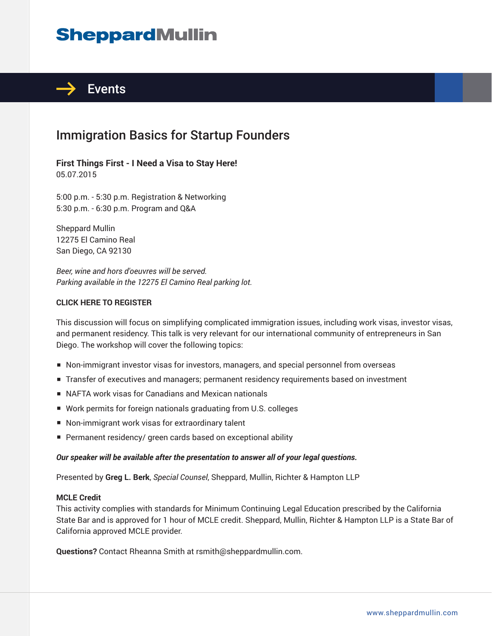# **SheppardMullin**



## Immigration Basics for Startup Founders

### **First Things First - I Need a Visa to Stay Here!** 05.07.2015

5:00 p.m. - 5:30 p.m. Registration & Networking 5:30 p.m. - 6:30 p.m. Program and Q&A

Sheppard Mullin 12275 El Camino Real San Diego, CA 92130

*Beer, wine and hors d'oeuvres will be served. Parking available in the 12275 El Camino Real parking lot.*

### **CLICK HERE TO REGISTER**

This discussion will focus on simplifying complicated immigration issues, including work visas, investor visas, and permanent residency. This talk is very relevant for our international community of entrepreneurs in San Diego. The workshop will cover the following topics:

- Non-immigrant investor visas for investors, managers, and special personnel from overseas
- Transfer of executives and managers; permanent residency requirements based on investment
- NAFTA work visas for Canadians and Mexican nationals
- Work permits for foreign nationals graduating from U.S. colleges
- Non-immigrant work visas for extraordinary talent
- Permanent residency/ green cards based on exceptional ability

#### *Our speaker will be available after the presentation to answer all of your legal questions.*

Presented by **Greg L. Berk**, *Special Counsel*, Sheppard, Mullin, Richter & Hampton LLP

#### **MCLE Credit**

This activity complies with standards for Minimum Continuing Legal Education prescribed by the California State Bar and is approved for 1 hour of MCLE credit. Sheppard, Mullin, Richter & Hampton LLP is a State Bar of California approved MCLE provider.

**Questions?** Contact Rheanna Smith at rsmith@sheppardmullin.com.